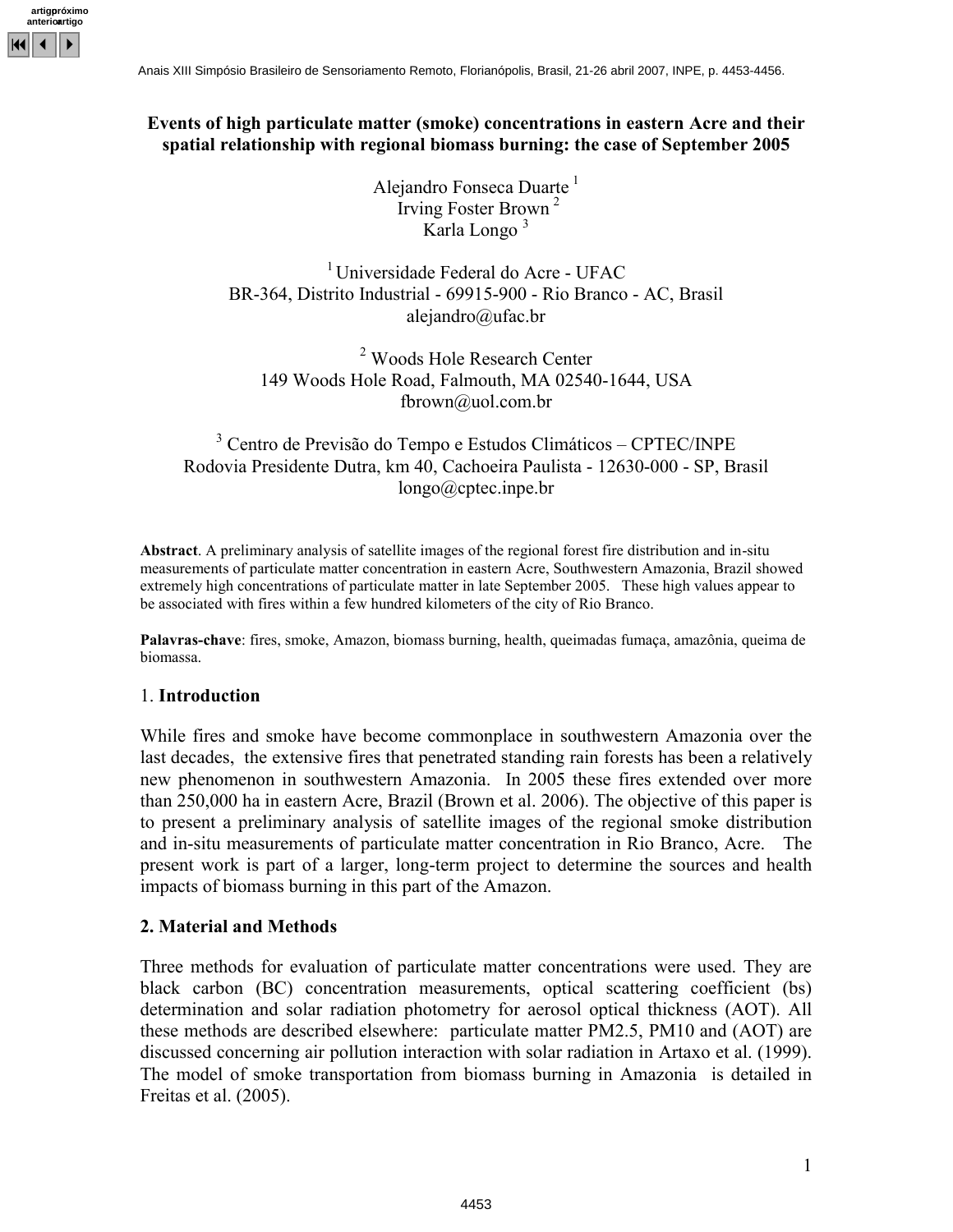

## Events of high particulate matter (smoke) concentrations in eastern Acre and their spatial relationship with regional biomass burning: the case of September 2005

Alejandro Fonseca Duarte<sup>1</sup> Irving Foster Brown <sup>2</sup> Karla Longo <sup>3</sup>

<sup>1</sup> Universidade Federal do Acre - UFAC BR-364, Distrito Industrial - 69915-900 - Rio Branco - AC, Brasil alejandro@ufac.br

<sup>2</sup> Woods Hole Research Center 149 Woods Hole Road, Falmouth, MA 02540-1644, USA fbrown@uol.com.br

<sup>3</sup> Centro de Previsão do Tempo e Estudos Climáticos – CPTEC/INPE Rodovia Presidente Dutra, km 40, Cachoeira Paulista - 12630-000 - SP, Brasil longo@cptec.inpe.br

Abstract. A preliminary analysis of satellite images of the regional forest fire distribution and in-situ measurements of particulate matter concentration in eastern Acre, Southwestern Amazonia, Brazil showed extremely high concentrations of particulate matter in late September 2005. These high values appear to be associated with fires within a few hundred kilometers of the city of Rio Branco.

Palavras-chave: fires, smoke, Amazon, biomass burning, health, queimadas fumaça, amazônia, queima de biomassa.

### 1. Introduction

While fires and smoke have become commonplace in southwestern Amazonia over the last decades, the extensive fires that penetrated standing rain forests has been a relatively new phenomenon in southwestern Amazonia. In 2005 these fires extended over more than 250,000 ha in eastern Acre, Brazil (Brown et al. 2006). The objective of this paper is to present a preliminary analysis of satellite images of the regional smoke distribution and in-situ measurements of particulate matter concentration in Rio Branco, Acre. The present work is part of a larger, long-term project to determine the sources and health impacts of biomass burning in this part of the Amazon.

### 2. Material and Methods

Three methods for evaluation of particulate matter concentrations were used. They are black carbon (BC) concentration measurements, optical scattering coefficient (bs) determination and solar radiation photometry for aerosol optical thickness (AOT). All these methods are described elsewhere: particulate matter PM2.5, PM10 and (AOT) are discussed concerning air pollution interaction with solar radiation in Artaxo et al. (1999). The model of smoke transportation from biomass burning in Amazonia is detailed in Freitas et al. (2005).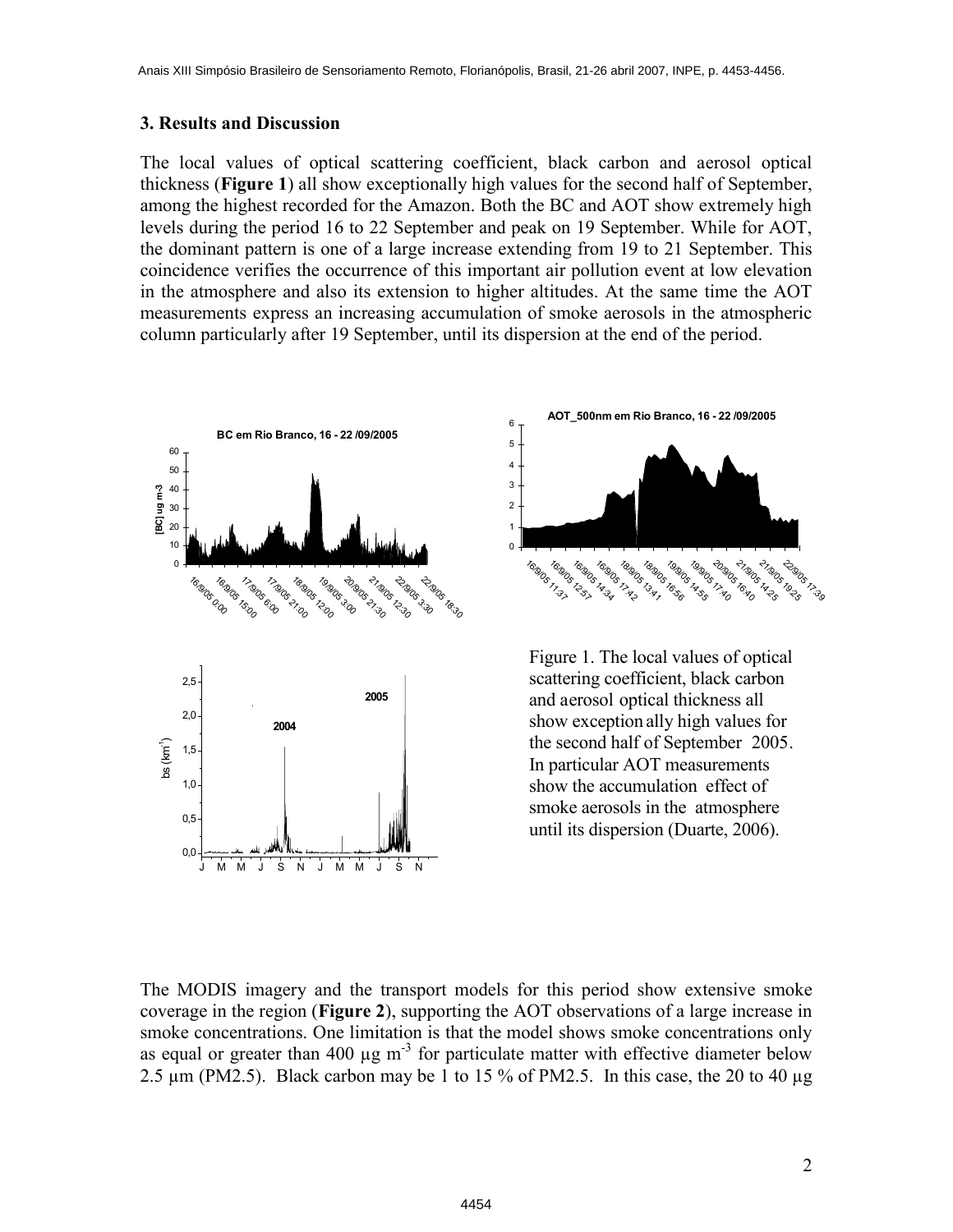## 3. Results and Discussion

The local values of optical scattering coefficient, black carbon and aerosol optical thickness (Figure 1) all show exceptionally high values for the second half of September, among the highest recorded for the Amazon. Both the BC and AOT show extremely high levels during the period 16 to 22 September and peak on 19 September. While for AOT, the dominant pattern is one of a large increase extending from 19 to 21 September. This coincidence verifies the occurrence of this important air pollution event at low elevation in the atmosphere and also its extension to higher altitudes. At the same time the AOT measurements express an increasing accumulation of smoke aerosols in the atmospheric column particularly after 19 September, until its dispersion at the end of the period.





Figure 1. The local values of optical scattering coefficient, black carbon and aerosol optical thickness all show exception ally high values for the second half of September 2005. In particular AOT measurements show the accumulation effect of smoke aerosols in the atmosphere until its dispersion (Duarte, 2006).

The MODIS imagery and the transport models for this period show extensive smoke coverage in the region (Figure 2), supporting the AOT observations of a large increase in smoke concentrations. One limitation is that the model shows smoke concentrations only as equal or greater than 400  $\mu$ g m<sup>-3</sup> for particulate matter with effective diameter below 2.5  $\mu$ m (PM2.5). Black carbon may be 1 to 15 % of PM2.5. In this case, the 20 to 40  $\mu$ g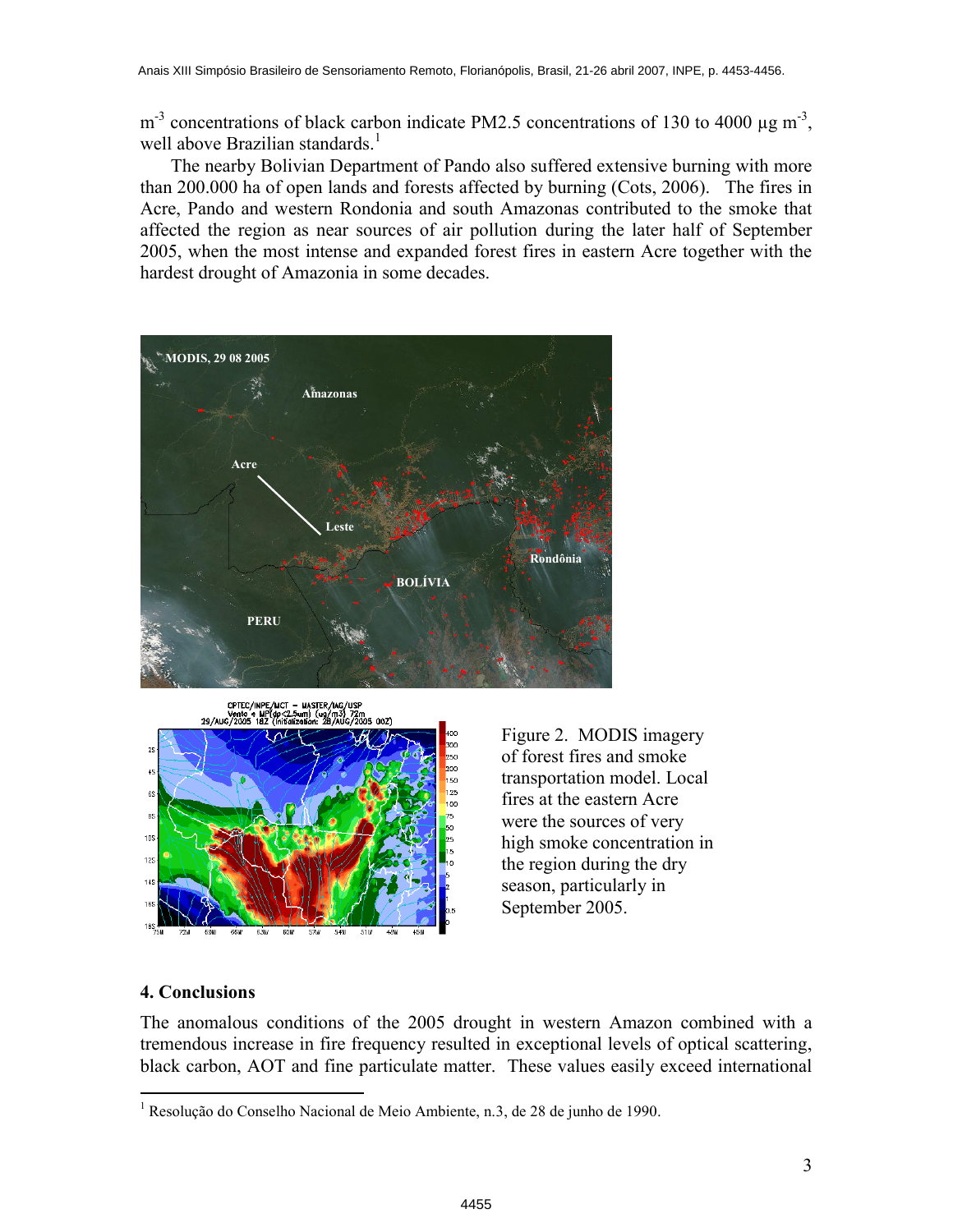$m<sup>-3</sup>$  concentrations of black carbon indicate PM2.5 concentrations of 130 to 4000  $\mu$ g m<sup>-3</sup>, well above Brazilian standards.<sup>1</sup>

The nearby Bolivian Department of Pando also suffered extensive burning with more than 200.000 ha of open lands and forests affected by burning (Cots, 2006). The fires in Acre, Pando and western Rondonia and south Amazonas contributed to the smoke that affected the region as near sources of air pollution during the later half of September 2005, when the most intense and expanded forest fires in eastern Acre together with the hardest drought of Amazonia in some decades.





Figure 2. MODIS imagery of forest fires and smoke transportation model. Local fires at the eastern Acre were the sources of very high smoke concentration in the region during the dry season, particularly in September 2005.

# 4. Conclusions

 $\overline{a}$ 

The anomalous conditions of the 2005 drought in western Amazon combined with a tremendous increase in fire frequency resulted in exceptional levels of optical scattering, black carbon, AOT and fine particulate matter. These values easily exceed international

<sup>1</sup> Resolução do Conselho Nacional de Meio Ambiente, n.3, de 28 de junho de 1990.